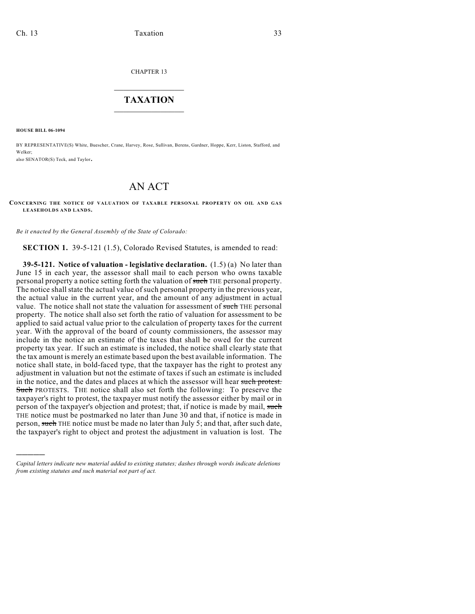CHAPTER 13

## $\overline{\phantom{a}}$  . The set of the set of the set of the set of the set of the set of the set of the set of the set of the set of the set of the set of the set of the set of the set of the set of the set of the set of the set o **TAXATION**  $\_$

**HOUSE BILL 06-1094**

)))))

BY REPRESENTATIVE(S) White, Buescher, Crane, Harvey, Rose, Sullivan, Berens, Gardner, Hoppe, Kerr, Liston, Stafford, and Welker;

also SENATOR(S) Teck, and Taylor.

## AN ACT

**CONCERNING THE NOTICE OF VALUATION OF TAXABLE PERSONAL PROPERTY ON OIL AND GAS LEASEHOLDS AND LANDS.**

*Be it enacted by the General Assembly of the State of Colorado:*

**SECTION 1.** 39-5-121 (1.5), Colorado Revised Statutes, is amended to read:

**39-5-121. Notice of valuation - legislative declaration.** (1.5) (a) No later than June 15 in each year, the assessor shall mail to each person who owns taxable personal property a notice setting forth the valuation of such THE personal property. The notice shall state the actual value of such personal property in the previous year, the actual value in the current year, and the amount of any adjustment in actual value. The notice shall not state the valuation for assessment of such THE personal property. The notice shall also set forth the ratio of valuation for assessment to be applied to said actual value prior to the calculation of property taxes for the current year. With the approval of the board of county commissioners, the assessor may include in the notice an estimate of the taxes that shall be owed for the current property tax year. If such an estimate is included, the notice shall clearly state that the tax amount is merely an estimate based upon the best available information. The notice shall state, in bold-faced type, that the taxpayer has the right to protest any adjustment in valuation but not the estimate of taxes if such an estimate is included in the notice, and the dates and places at which the assessor will hear such protest. Such PROTESTS. THE notice shall also set forth the following: To preserve the taxpayer's right to protest, the taxpayer must notify the assessor either by mail or in person of the taxpayer's objection and protest; that, if notice is made by mail, such THE notice must be postmarked no later than June 30 and that, if notice is made in person, such THE notice must be made no later than July 5; and that, after such date, the taxpayer's right to object and protest the adjustment in valuation is lost. The

*Capital letters indicate new material added to existing statutes; dashes through words indicate deletions from existing statutes and such material not part of act.*